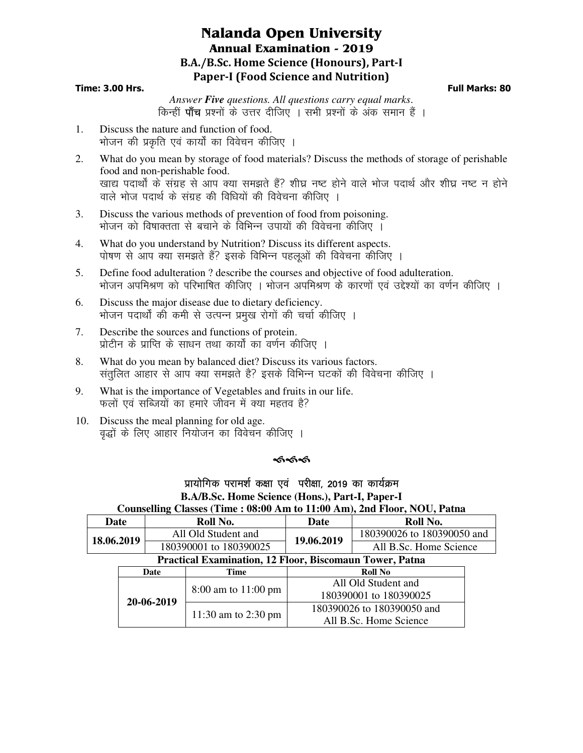# **Nalanda Open University Annual Examination - 2019 B.A./B.Sc. Home Science (Honours), Part-I Paper-I (Food Science and Nutrition)**

## **Time: 3.00 Hrs. Full Marks: 80**

*Answer Five questions. All questions carry equal marks*. किन्हीं **पाँच** प्रश्नों के उत्तर दीजिए । सभी प्रश्नों के अंक समान हैं ।

- 1. Discuss the nature and function of food. भोजन की प्रकृति एवं कार्यों का विवेचन कीजिए ।
- 2. What do you mean by storage of food materials? Discuss the methods of storage of perishable food and non-perishable food. खाद्य पदार्थों के संग्रह से आप क्या समझते हैं? शीघ्र नष्ट होने वाले भोज पदार्थ और शीघ्र नष्ट न होने वाले भोज पदार्थ के संग्रह की विधियों की विवेचना कीजिए ।
- 3. Discuss the various methods of prevention of food from poisoning. भोजन को विषाक्तता से बचाने के विभिन्न उपायों की विवेचना कीजिए ।
- 4. What do you understand by Nutrition? Discuss its different aspects. पोषण से आप क्या समझते हैं? इसके विभिन्न पहलूओं की विवेचना कीजिए ।
- 5. Define food adulteration ? describe the courses and objective of food adulteration. भोजन अपमिश्रण को परिभाषित कीजिए । भोजन अपमिश्रण के कारणों एवं उद्देश्यों का वर्णन कीजिए ।
- 6. Discuss the major disease due to dietary deficiency. भोजन पदार्थों की कमी से उत्पन्न प्रमुख रोगों की चर्चा कीजिए ।
- 7. Describe the sources and functions of protein. <u>प्रोटीन के प्राप्ति के साधन तथा कार्यों का वर्णन कीजिए ।</u>
- 8. What do you mean by balanced diet? Discuss its various factors. संतुलित आहार से आप क्या समझते है? इसके विभिन्न घटकों की विवेचना कीजिए ।
- 9. What is the importance of Vegetables and fruits in our life. फलों एवं सब्जियों का हमारे जीवन में क्या महतव है?
- 10. Discuss the meal planning for old age. वृद्धों के लिए आहार नियोजन का विवेचन कीजिए ।

#### কৰ্কক er i

## प्रायोगिक परामर्श कक्षा एवं परीक्षा, 2019 का कार्यक्रम **B.A/B.Sc. Home Science (Hons.), Part-I, Paper-I Counselling Classes (Time : 08:00 Am to 11:00 Am), 2nd Floor, NOU, Patna**

| Date                                                           |      | Roll No.               |                     | <b>Date</b>                | Roll No.                   |  |
|----------------------------------------------------------------|------|------------------------|---------------------|----------------------------|----------------------------|--|
| 18.06.2019                                                     |      | All Old Student and    |                     | 19.06.2019                 | 180390026 to 180390050 and |  |
|                                                                |      | 180390001 to 180390025 |                     |                            | All B.Sc. Home Science     |  |
| <b>Practical Examination, 12 Floor, Biscomaun Tower, Patna</b> |      |                        |                     |                            |                            |  |
|                                                                | Date |                        | Time                | <b>Roll No</b>             |                            |  |
|                                                                |      |                        | 8:00 am to 11:00 pm | All Old Student and        |                            |  |
|                                                                |      |                        |                     | 180390001 to 180390025     |                            |  |
|                                                                |      | 20-06-2019             |                     | 180390026 to 180390050 and |                            |  |
|                                                                |      |                        | 11:30 am to 2:30 pm | All B.Sc. Home Science     |                            |  |
|                                                                |      |                        |                     |                            |                            |  |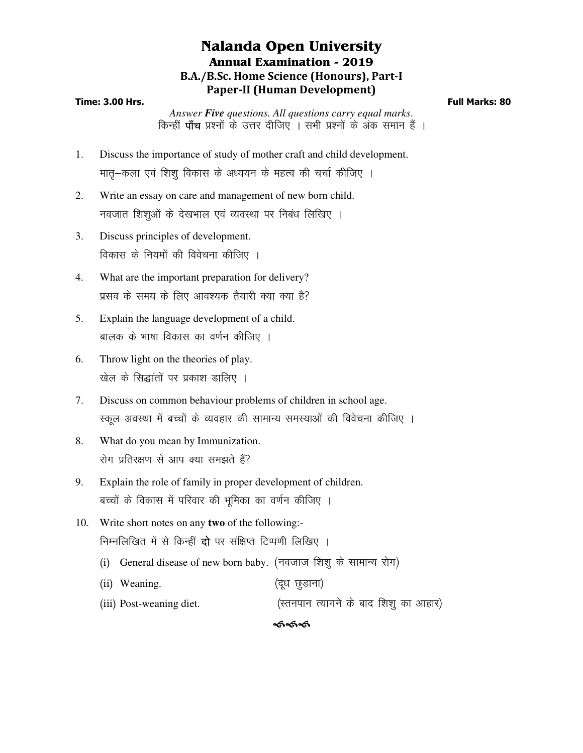# **Nalanda Open University Annual Examination - 2019 B.A./B.Sc. Home Science (Honours), Part-I Paper-II (Human Development)**

## **Time: 3.00 Hrs. Full Marks: 80**

*Answer Five questions. All questions carry equal marks*. किन्हीं **पाँच** प्रश्नों के उत्तर दीजिए । सभी प्रश्नों के अंक समान हैं ।

- 1. Discuss the importance of study of mother craft and child development. मातू-कला एवं शिशू विकास के अध्ययन के महत्व की चर्चा कीजिए ।
- 2. Write an essay on care and management of new born child. नवजात शिशुओं के देखभाल एवं व्यवस्था पर निबंध लिखिए ।
- 3. Discuss principles of development. विकास के नियमों की विवेचना कीजिए ।
- 4. What are the important preparation for delivery? प्रसव के समय के लिए आवश्यक तैयारी क्या क्या है?
- 5. Explain the language development of a child. बालक के भाषा विकास का वर्णन कीजिए ।
- 6. Throw light on the theories of play. खेल के सिद्धांतों पर प्रकाश डालिए ।
- 7. Discuss on common behaviour problems of children in school age. स्कूल अवस्था में बच्चों के व्यवहार की सामान्य समस्याओं की विवेचना कीजिए ।
- 8. What do you mean by Immunization. रोग प्रतिरक्षण से आप क्या समझते हैं?
- 9. Explain the role of family in proper development of children. बच्चों के विकास में परिवार की भुमिका का वर्णन कीजिए ।
- 10. Write short notes on any **two** of the following:- निम्नलिखित में से किन्हीं **दो** पर संक्षिप्त टिप्पणी लिखिए ।
	- (i) General disease of new born baby. (नवजाज शिश् के सामान्य रोग)
	- (ii) Weaning. (दूध छुड़ाना)
	- (iii) Post-weaning diet. ¼Lruiku R;kxus ds ckn f'k'k q dk vkgkj½

## <u>କେଥି</u>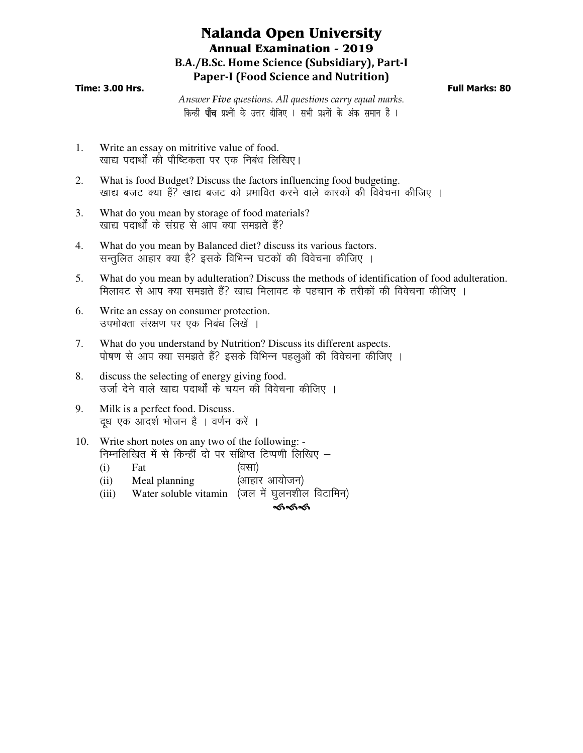# **Nalanda Open University Annual Examination - 2019 B.A./B.Sc. Home Science (Subsidiary), Part-I Paper-I (Food Science and Nutrition)**

## **Time: 3.00 Hrs. Full Marks: 80**

*Answer Five questions. All questions carry equal marks*. किन्हीं **पाँच** प्रश्नों के उत्तर दीजिए । सभी प्रश्नों के अंक समान हैं ।

- 1. Write an essay on mitritive value of food. खाद्य पदार्थों की पौष्टिकता पर एक निबंध लिखिए।
- 2. What is food Budget? Discuss the factors influencing food budgeting. खाद्य बजट क्या हैं? खाद्य बजट को प्रभावित करने वाले कारकों की विवेचना कीजिए ।
- 3. What do you mean by storage of food materials? खाद्य पदार्थों के संग्रह से आप क्या समझते हैं?
- 4. What do you mean by Balanced diet? discuss its various factors. सन्तुलित आहार क्या है? इसके विभिन्न घटकों की विवेचना कीजिए ।
- 5. What do you mean by adulteration? Discuss the methods of identification of food adulteration. मिलावट से आप क्या समझते हैं? खाद्य मिलावट के पहचान के तरीकों की विवेचना कीजिए ।
- 6. Write an essay on consumer protection. उपभोक्ता संरक्षण पर एक निबंध लिखें ।
- 7. What do you understand by Nutrition? Discuss its different aspects. पोषण से आप क्या समझते हैं? इसके विभिन्न पहलुओं की विवेचना कीजिए ।
- 8. discuss the selecting of energy giving food. उर्जा देने वाले खाद्य पदार्थों के चयन की विवेचना कीजिए ।
- 9. Milk is a perfect food. Discuss. दूध एक आदर्श भोजन है । वर्णन करें ।
- 10. Write short notes on any two of the following: निम्नलिखित में से किन्हीं दो पर संक्षिप्त टिप्पणी लिखिए  $-$ 
	- $(i)$  Fat  $($ वसा $)$
	- $(ii)$  Meal planning  $(iii)$
	- (iii) Water soluble vitamin (जल में घुलनशील विटामिन)

କ୍ଟେକ୍ଟ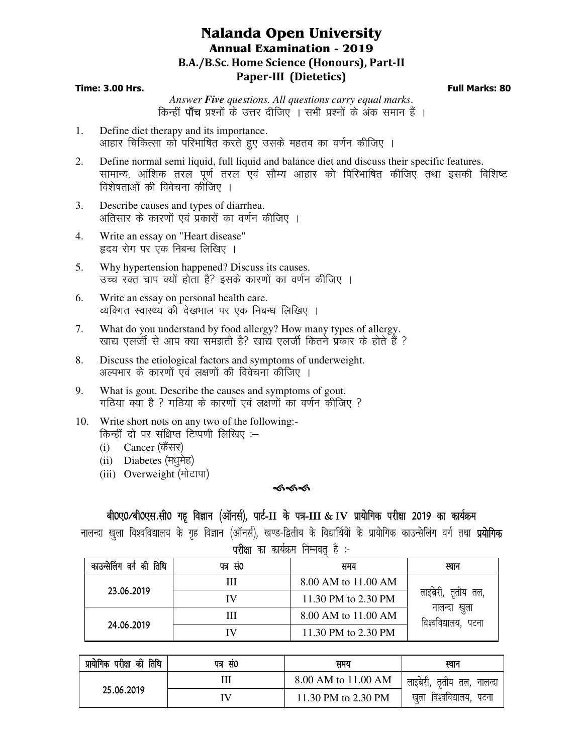# **Nalanda Open University Annual Examination - 2019 B.A./B.Sc. Home Science (Honours), Part-II Paper-III (Dietetics)**

## **Time: 3.00 Hrs. Full Marks: 80**

*Answer Five questions. All questions carry equal marks*. किन्हीं **पाँच** प्रश्नों के उत्तर दीजिए । सभी प्रश्नों के अंक समान हैं ।

- 1. Define diet therapy and its importance. आहार चिकित्सा को परिभाषित करते हए उसके महतव का वर्णन कीजिए ।
- 2. Define normal semi liquid, full liquid and balance diet and discuss their specific features. सामान्य, आंशिक तरल पर्ण तरल एवं सौम्य आहार को पिरिभाषित कीजिए तथा इसकी विशिष्ट विशेषताओं की विवेचना कोजिए ।
- 3. Describe causes and types of diarrhea. अतिसार के कारणों एवं प्रकारों का वर्णन कीजिए ।
- 4. Write an essay on "Heart disease" हृदय रोग पर एक निबन्ध लिखिए ।
- 5. Why hypertension happened? Discuss its causes. उच्च रक्त चाप क्यों होता है? इसके कारणों का वर्णन कीजिए ।
- 6. Write an essay on personal health care. व्यक्गित स्वास्थ्य की देखभाल पर एक निबन्ध लिखिए ।
- 7. What do you understand by food allergy? How many types of allergy. खाद्य एलर्जी से आप क्या समझती है? खाद्य एलर्जी कितने प्रकार के होते हैं ?
- 8. Discuss the etiological factors and symptoms of underweight. अल्पभार के कारणों एवं लक्षणों की विवेचना कीजिए ।
- 9. What is gout. Describe the causes and symptoms of gout. गठिया क्या है ? गठिया के कारणों एवं लक्षणों का वर्णन कीजिए ?
- 10. Write short nots on any two of the following:- किन्हीं दो पर संक्षिप्त टिप्पणी लिखिए :-
	- (i) Cancer (कैंसर)
	- (ii) Diabetes (मधुमेह)
	- (iii) Overweight (मोटापा)

## ଈ୶ୡ

## बी0ए0/बी0एस.सी0 गह विज्ञान (ऑनर्स), पार्ट-II के पत्र-III & IV प्रायोगिक परीक्षा 2019 का कार्यक्रम

नालन्दा खुला विश्वविद्यालय के गृह विज्ञान (ऑनर्स), खण्ड-द्वितीय के विद्यार्थियों के प्रायोगिक काउन्सेलिंग वर्ग तथा **प्रयोगिक** 

| परीक्षा | का कार्यक्रम निम्नवत् । |  |  |
|---------|-------------------------|--|--|
|         |                         |  |  |

| काउन्सेलिंग वर्ग की तिथि | पत्र सं0 | समय                 | स्थान                               |
|--------------------------|----------|---------------------|-------------------------------------|
|                          | Ш        | 8.00 AM to 11.00 AM |                                     |
| 23.06.2019               | IV       | 11.30 PM to 2.30 PM | लाइब्रेरी, तृतीय तल,                |
|                          | Ш        | 8.00 AM to 11.00 AM | नालन्दा खुला<br>विश्वविद्यालय, पटना |
| 24.06.2019               | IV       | 11.30 PM to 2.30 PM |                                     |

| प्रायोगिक परीक्षा की तिथि | पत्र सं0 | समय                 | स्थान                        |  |
|---------------------------|----------|---------------------|------------------------------|--|
|                           |          | 8.00 AM to 11.00 AM | लाइब्रेरी, तृतीय तल, नालन्दा |  |
| 25.06.2019                | ΙV       | 11.30 PM to 2.30 PM | खुला विश्वविद्यालय, पटना     |  |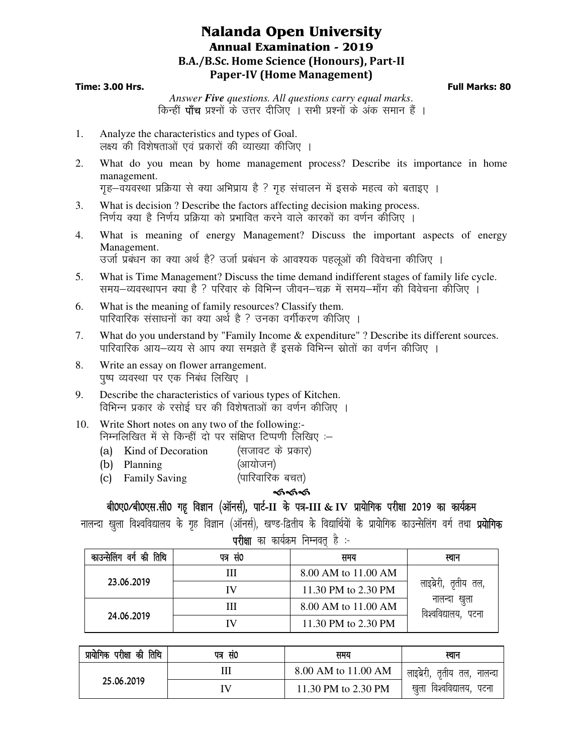# **Nalanda Open University Annual Examination - 2019 B.A./B.Sc. Home Science (Honours), Part-II Paper-IV (Home Management)**

## **Time: 3.00 Hrs. Full Marks: 80**

*Answer Five questions. All questions carry equal marks*. किन्हीं **पाँच** प्रश्नों के उत्तर दीजिए । सभी प्रश्नों के अंक समान हैं ।

- 1. Analyze the characteristics and types of Goal. लक्ष्य की विशेषताओं एवं प्रकारों की व्याख्या कीजिए ।
- 2. What do you mean by home management process? Describe its importance in home management. गह-वयवस्था प्रक्रिया से क्या अभिप्राय है ? गह संचालन में इसके महत्व को बताइए ।
- 3. What is decision ? Describe the factors affecting decision making process. निर्णय क्या है निर्णय प्रक्रिया को प्रभावित करने वाले कारकों का वर्णन कीजिए ।
- 4. What is meaning of energy Management? Discuss the important aspects of energy Management. उर्जा प्रबंधन का क्या अर्थ है? उर्जा प्रबंधन के आवश्यक पहलुओं की विवेचना कीजिए ।
- 5. What is Time Management? Discuss the time demand indifferent stages of family life cycle. समय-व्यवस्थापन क्या है ? परिवार के विभिन्न जीवन–चक्र में समय–माँग की विवेचना कीजिए ।
- 6. What is the meaning of family resources? Classify them. पारिवारिक संसाधनों का क्या अर्थ है ? उनका वर्गीकरण कीजिए ।
- 7. What do you understand by "Family Income & expenditure" ? Describe its different sources. पारिवारिक आय—व्यय से आप क्या समझते हैं इसके विभिन्न स्रोतों का वर्णन कीजिए ।
- 8. Write an essay on flower arrangement. पुष्प व्यवस्था पर एक निबंध लिखिए ।
- 9. Describe the characteristics of various types of Kitchen. विभिन्न प्रकार के रसोई घर की विशेषताओं का वर्णन कीजिए ।
- 10. Write Short notes on any two of the following:- निम्नलिखित में से किन्हीं दो पर संक्षिप्त टिप्पणी लिखिए :–
	- (a) Kind of Decoration (सजावट के प्रकार)
	- (b) Planning (आयोजन)
	- (c) Family Saving (पारिवारिक बचत)

## কৰ্কক

## and odention, and the chine formation and the control of the interpretation of the control and the defect and de<br>The definition of the defect of the defect of the defect of the defect of the different in the defect of the

नालन्दा खला विश्वविद्यालय के गृह विज्ञान (ऑनर्स), खण्ड-द्वितीय के विद्यार्थियों के प्रायोगिक काउन्सेलिंग वर्ग तथा **प्रयोगिक** 

परीक्षा का कार्यक्रम निम्नवत है :-

| काउन्सेलिंग वर्ग की तिथि | पत्र सं0 | समय                 | स्थान                               |
|--------------------------|----------|---------------------|-------------------------------------|
|                          | Ш        | 8.00 AM to 11.00 AM |                                     |
| 23.06.2019               | IV       | 11.30 PM to 2.30 PM | लाइब्रेरी, तृतीय तल,                |
|                          | Ш        | 8.00 AM to 11.00 AM | नालन्दा खुला<br>विश्वविद्यालय, पटना |
| 24.06.2019               | IV       | 11.30 PM to 2.30 PM |                                     |

| प्रायोगिक परीक्षा की तिथि | पत्र सं0 | समय                 | स्थान                        |  |
|---------------------------|----------|---------------------|------------------------------|--|
|                           | Ш        | 8.00 AM to 11.00 AM | लाइब्रेरी, तृतीय तल, नालन्दा |  |
| 25.06.2019                | IV       | 11.30 PM to 2.30 PM | खुला विश्वविद्यालय, पटना     |  |
|                           |          |                     |                              |  |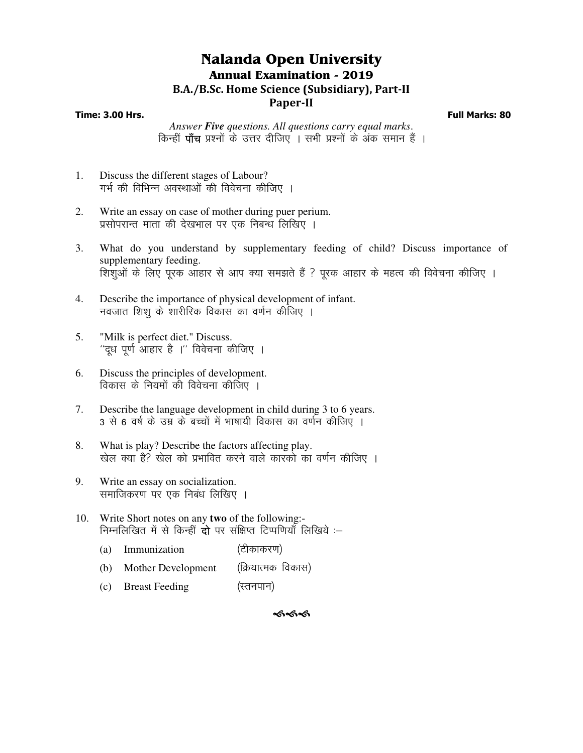# **Nalanda Open University Annual Examination - 2019 B.A./B.Sc. Home Science (Subsidiary), Part-II**

## **Paper-II**

**Time: 3.00 Hrs. Full Marks: 80**

*Answer Five questions. All questions carry equal marks*. किन्हीं **पाँच** प्रश्नों के उत्तर दीजिए । सभी प्रश्नों के अंक समान हैं ।

- 1. Discuss the different stages of Labour? गर्भ की विभिन्न अवस्थाओं की विवेचना कीजिए ।
- 2. Write an essay on case of mother during puer perium. प्रसोपरान्त माता की देखभाल पर एक निबन्ध लिखिए ।
- 3. What do you understand by supplementary feeding of child? Discuss importance of supplementary feeding. शिशुओं के लिए पूरक आहार से आप क्या समझते हैं ? पूरक आहार के महत्व की विवेचना कीजिए ।
- 4. Describe the importance of physical development of infant. नवजात शिशू के शारीरिक विकास का वर्णन कीजिए ।
- 5. "Milk is perfect diet." Discuss.  $^{\prime\prime}$ दुध पूर्ण आहार है । $^{\prime\prime}$  विवेचना कीजिए ।
- 6. Discuss the principles of development. विकास के नियमों की विवेचना कीजिए ।
- 7. Describe the language development in child during 3 to 6 years. 3 से 6 वर्ष के उम्र के बच्चों में भाषायी विकास का वर्णन कीजिए ।
- 8. What is play? Describe the factors affecting play. खेल क्या है? खेल को प्रभावित करने वाले कारको का वर्णन कीजिए ।
- 9. Write an essay on socialization. समाजिकरण पर एक निबंध लिखिए ।
- 10. Write Short notes on any **two** of the following:- निम्नलिखित में से किन्हीं **दो** पर संक्षिप्त टिप्पणियाँ लिखिये :–
	- (a) Immunization (टीकाकरण) (b) Mother Development (क्रियात्मक विकास)  $(c)$  Breast Feeding  $($ रतनपान $)$

ৰ্কৰ্কৰ্ক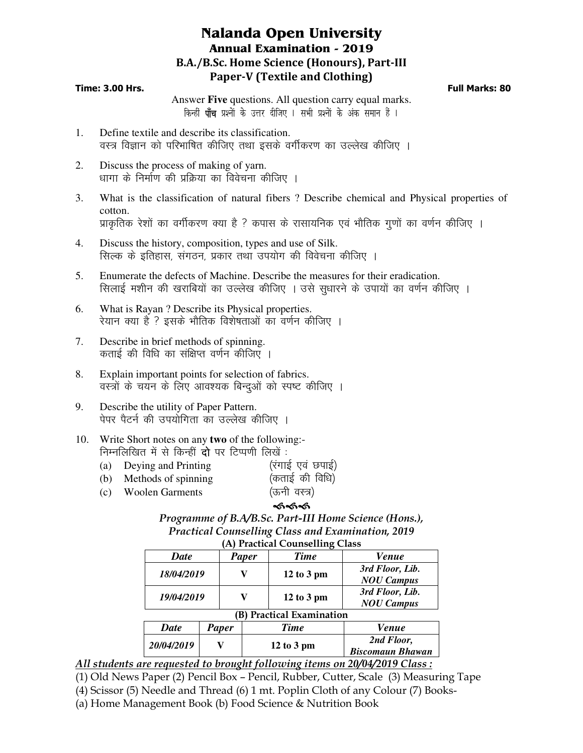# **Nalanda Open University Annual Examination - 2019 B.A./B.Sc. Home Science (Honours), Part-III Paper-V (Textile and Clothing)**

## **Time: 3.00 Hrs. Full Marks: 80**

Answer **Five** questions. All question carry equal marks. किन्हीं **पाँच** प्रश्नों के उत्तर दीजिए । सभी प्रश्नों के अंक समान हैं ।

- 1. Define textile and describe its classification. वस्त्र विज्ञान को परिभाषित कीजिए तथा इसके वर्गीकरण का उल्लेख कीजिए ।
- 2. Discuss the process of making of yarn. धागा के निर्माण की प्रक्रिया का विवेचना कीजिए ।
- 3. What is the classification of natural fibers ? Describe chemical and Physical properties of cotton. प्राकृतिक रेशों का वर्गीकरण क्या है ? कपास के रासायनिक एवं भौतिक गुणों का वर्णन कीजिए ।
- 4. Discuss the history, composition, types and use of Silk. सिल्क के इतिहास, संगठन, प्रकार तथा उपयोग की विवेचना कीजिए ।
- 5. Enumerate the defects of Machine. Describe the measures for their eradication. सिलाई मशीन की खराबियों का उल्लेख कीजिए । उसे सुधारने के उपायों का वर्णन कीजिए ।
- 6. What is Rayan ? Describe its Physical properties. रेयान क्या है ? इसके भौतिक विशेषताओं का वर्णन कीजिए ।
- 7. Describe in brief methods of spinning. कताई की विधि का संक्षिप्त वर्णन कीजिए ।
- 8. Explain important points for selection of fabrics. वस्त्रों के चयन के लिए आवश्यक बिन्दुओं को स्पष्ट कीजिए ।
- 9. Describe the utility of Paper Pattern. पेपर पैटर्न की उपयोगिता का उल्लेख कीजिए ।
- 10. Write Short notes on any **two** of the following:- निम्नलिखित में से किन्हीं **दो** पर टिप्पणी लिखें :
	- (a) Deying and Printing  $(3, 2)$   $(4, 3)$
	- (b) Methods of spinning (कताई की विधि)
	-
	- (c) Woolen Garments (ऊनी वस्त्र)

## କ୍ତ*୍ୟର*

## *Programme of B.A/B.Sc. Part-III Home Science (Hons.), Practical Counselling Class and Examination, 2019*  **(A) Practical Counselling Class**

|             |              |              | $\alpha$ ) Tractical Counscilling Class |                                       |
|-------------|--------------|--------------|-----------------------------------------|---------------------------------------|
| <b>Date</b> |              | <b>Paper</b> | <b>Time</b>                             | <b>Venue</b>                          |
| 18/04/2019  |              |              | $12$ to $3$ pm                          | 3rd Floor, Lib.<br><b>NOU Campus</b>  |
| 19/04/2019  |              |              | $12$ to $3$ pm                          | 3rd Floor, Lib.<br><b>NOU Campus</b>  |
|             |              | B)           | <b>Practical Examination</b>            |                                       |
| <b>Date</b> | <b>Paper</b> |              | <b>Time</b>                             | <b>Venue</b>                          |
| 20/04/2019  |              |              | $12$ to 3 pm                            | 2nd Floor,<br><b>Biscomaun Bhawan</b> |

## *All students are requested to brought following items on 20/04/2019 Class :*

- (1) Old News Paper (2) Pencil Box Pencil, Rubber, Cutter, Scale (3) Measuring Tape
- (4) Scissor (5) Needle and Thread (6) 1 mt. Poplin Cloth of any Colour (7) Books-
- (a) Home Management Book (b) Food Science & Nutrition Book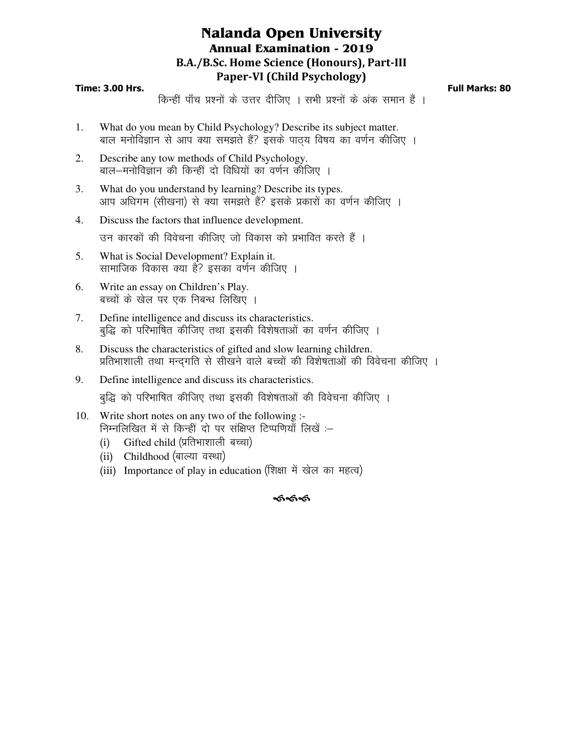# **Nalanda Open University Annual Examination - 2019 B.A./B.Sc. Home Science (Honours), Part-III Paper-VI (Child Psychology)**

## **Time: 3.00 Hrs. Full Marks: 80**

किन्हीं पाँच प्रश्नों के उत्तर दीजिए । सभी प्रश्नों के अंक समान हैं ।

- 1. What do you mean by Child Psychology? Describe its subject matter. बाल मनोविज्ञान से आप क्या समझते हैं? इसके पाठय विषय का वर्णन कीजिए ।
- 2. Describe any tow methods of Child Psychology. बाल-मनोविज्ञान की किन्हीं दो विधियों का वर्णन कीजिए ।
- 3. What do you understand by learning? Describe its types. आप अधिगम (सीखना) से क्या समझते हैं? इसके प्रकारों का वर्णन कीजिए ।
- 4. Discuss the factors that influence development.

उन कारकों की विवेचना कीजिए जो विकास को प्रभावित करते हैं ।

- 5. What is Social Development? Explain it. सामाजिक विकास क्या है? इसका वर्णन कीजिए ।
- 6. Write an essay on Children's Play. बच्चों के खेल पर एक निबन्ध लिखिए ।
- 7. Define intelligence and discuss its characteristics. बद्धि को परिभाषित कीजिए तथा इसकी विशेषताओं का वर्णन कीजिए ।
- 8. Discuss the characteristics of gifted and slow learning children. प्रतिभाशाली तथा मन्दगति से सीखने वाले बच्चों की विशेषताओं की विवेचना कीजिए ।
- 9. Define intelligence and discuss its characteristics. बुद्धि को परिभाषित कीजिए तथा इसकी विशेषताओं की विवेचना कीजिए ।
- 10. Write short notes on any two of the following :- निम्नलिखित में से किन्हीं दो पर संक्षिप्त टिप्पणियाँ लिखें :-
	- (i) Gifted child (प्रतिभाशाली बच्चा)
	- (ii) Childhood (बाल्या वस्था)
	- (iii) Importance of play in education (शिक्षा में खेल का महत्व)

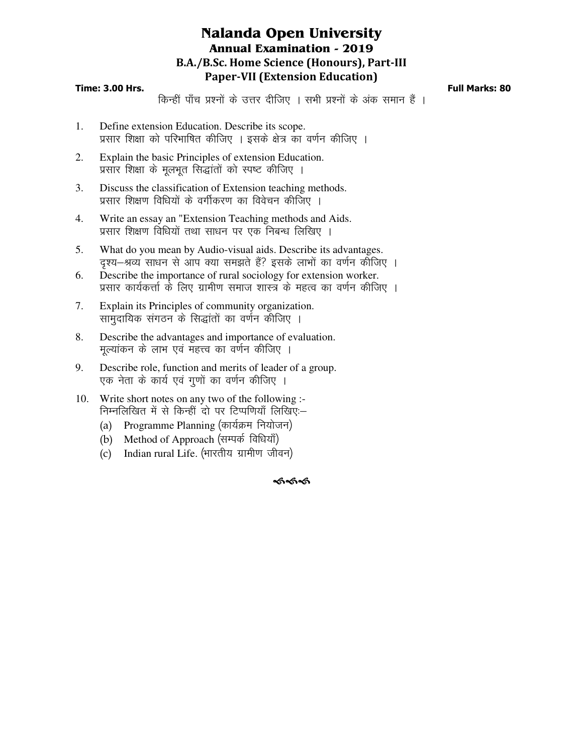# **Nalanda Open University Annual Examination - 2019 B.A./B.Sc. Home Science (Honours), Part-III Paper-VII (Extension Education)**

## **Time: 3.00 Hrs. Full Marks: 80**

किन्हीं पाँच प्रश्नों के उत्तर दीजिए । सभी प्रश्नों के अंक समान हैं ।

- 1. Define extension Education. Describe its scope. प्रसार शिक्षा को परिभाषित कीजिए । इसके क्षेत्र का वर्णन कीजिए ।
- 2. Explain the basic Principles of extension Education. प्रसार शिक्षा के मूलभूत सिद्धांतों को स्पष्ट कीजिए ।
- 3. Discuss the classification of Extension teaching methods. प्रसार शिक्षण विधियों के वर्गीकरण का विवेचन कीजिए ।
- 4. Write an essay an "Extension Teaching methods and Aids. प्रसार शिक्षण विधियों तथा साधन पर एक निबन्ध लिखिए ।
- 5. What do you mean by Audio-visual aids. Describe its advantages. दृश्य–श्रव्य साधन से आप क्या समझते हैं? इसके लाभों का वर्णन कीजिए ।
- 6. Describe the importance of rural sociology for extension worker. प्रसार कार्यकर्त्ता के लिए ग्रामीण समाज शास्त्र के महत्व का वर्णन कीजिए ।
- 7. Explain its Principles of community organization. सामुदायिक संगठन के सिद्धांतों का वर्णन कीजिए ।
- 8. Describe the advantages and importance of evaluation. मुल्यांकन के लाभ एवं महत्त्व का वर्णन कीजिए ।
- 9. Describe role, function and merits of leader of a group. एक नेता के कार्य एवं गुणों का वर्णन कीजिए ।
- 10. Write short notes on any two of the following :- निम्नलिखित में से किन्हीं दो पर टिप्पणियाँ लिखिए:-
	- (a) Programme Planning (कार्यक्रम नियोजन)
	- (b) Method of Approach (सम्पर्क विधियाँ)
	- (c) Indian rural Life. (भारतीय ग्रामीण जीवन)

#### ৰ্কৰ্কৰ